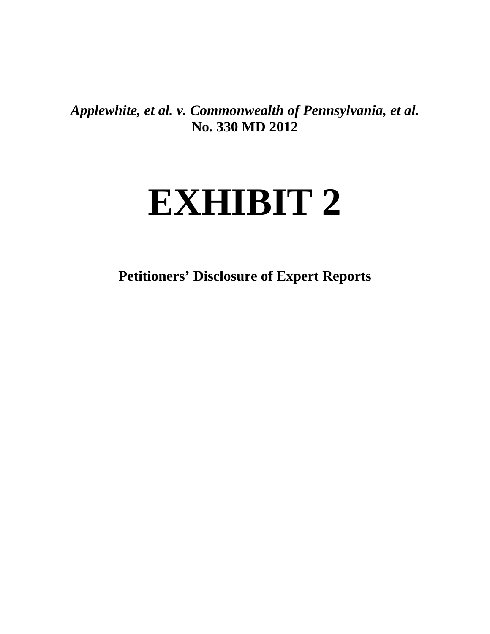*Applewhite, et al. v. Commonwealth of Pennsylvania, et al.* **No. 330 MD 2012**

# **EXHIBIT 2**

**Petitioners' Disclosure of Expert Reports**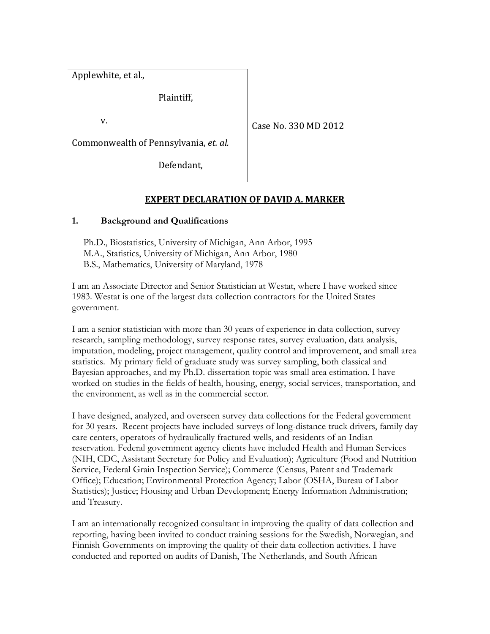Applewhite, et al.,

Plaintiff,

v.

Case No. 330 MD 2012

Commonwealth of Pennsylvania, *et. al.*

Defendant,

# **EXPERT DECLARATION OF DAVID A. MARKER**

### **1. Background and Qualifications**

Ph.D., Biostatistics, University of Michigan, Ann Arbor, 1995 M.A., Statistics, University of Michigan, Ann Arbor, 1980 B.S., Mathematics, University of Maryland, 1978

I am an Associate Director and Senior Statistician at Westat, where I have worked since 1983. Westat is one of the largest data collection contractors for the United States government.

I am a senior statistician with more than 30 years of experience in data collection, survey research, sampling methodology, survey response rates, survey evaluation, data analysis, imputation, modeling, project management, quality control and improvement, and small area statistics. My primary field of graduate study was survey sampling, both classical and Bayesian approaches, and my Ph.D. dissertation topic was small area estimation. I have worked on studies in the fields of health, housing, energy, social services, transportation, and the environment, as well as in the commercial sector.

I have designed, analyzed, and overseen survey data collections for the Federal government for 30 years. Recent projects have included surveys of long-distance truck drivers, family day care centers, operators of hydraulically fractured wells, and residents of an Indian reservation. Federal government agency clients have included Health and Human Services (NIH, CDC, Assistant Secretary for Policy and Evaluation); Agriculture (Food and Nutrition Service, Federal Grain Inspection Service); Commerce (Census, Patent and Trademark Office); Education; Environmental Protection Agency; Labor (OSHA, Bureau of Labor Statistics); Justice; Housing and Urban Development; Energy Information Administration; and Treasury.

I am an internationally recognized consultant in improving the quality of data collection and reporting, having been invited to conduct training sessions for the Swedish, Norwegian, and Finnish Governments on improving the quality of their data collection activities. I have conducted and reported on audits of Danish, The Netherlands, and South African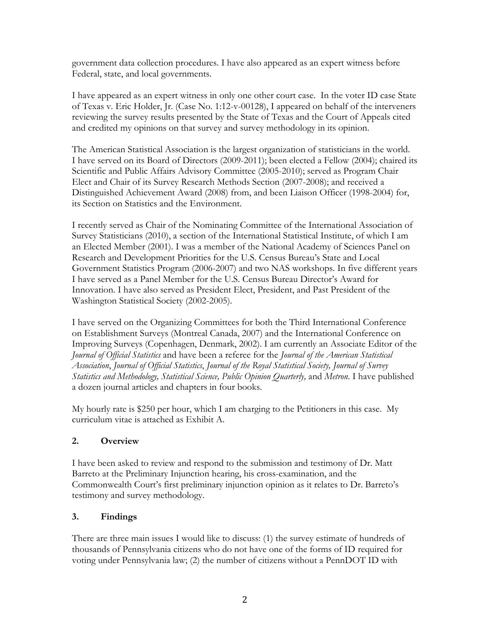government data collection procedures. I have also appeared as an expert witness before Federal, state, and local governments.

I have appeared as an expert witness in only one other court case. In the voter ID case State of Texas v. Eric Holder, Jr. (Case No. 1:12-v-00128), I appeared on behalf of the interveners reviewing the survey results presented by the State of Texas and the Court of Appeals cited and credited my opinions on that survey and survey methodology in its opinion.

The American Statistical Association is the largest organization of statisticians in the world. I have served on its Board of Directors (2009-2011); been elected a Fellow (2004); chaired its Scientific and Public Affairs Advisory Committee (2005-2010); served as Program Chair Elect and Chair of its Survey Research Methods Section (2007-2008); and received a Distinguished Achievement Award (2008) from, and been Liaison Officer (1998-2004) for, its Section on Statistics and the Environment.

I recently served as Chair of the Nominating Committee of the International Association of Survey Statisticians (2010), a section of the International Statistical Institute, of which I am an Elected Member (2001). I was a member of the National Academy of Sciences Panel on Research and Development Priorities for the U.S. Census Bureau's State and Local Government Statistics Program (2006-2007) and two NAS workshops. In five different years I have served as a Panel Member for the U.S. Census Bureau Director's Award for Innovation. I have also served as President Elect, President, and Past President of the Washington Statistical Society (2002-2005).

I have served on the Organizing Committees for both the Third International Conference on Establishment Surveys (Montreal Canada, 2007) and the International Conference on Improving Surveys (Copenhagen, Denmark, 2002). I am currently an Associate Editor of the *Journal of Official Statistics* and have been a referee for the *Journal of the American Statistical Association*, *Journal of Official Statistics*, *Journal of the Royal Statistical Society, Journal of Survey Statistics and Methodology, Statistical Science, Public Opinion Quarterly,* and *Metron*. I have published a dozen journal articles and chapters in four books.

My hourly rate is \$250 per hour, which I am charging to the Petitioners in this case. My curriculum vitae is attached as Exhibit A.

## **2. Overview**

I have been asked to review and respond to the submission and testimony of Dr. Matt Barreto at the Preliminary Injunction hearing, his cross-examination, and the Commonwealth Court's first preliminary injunction opinion as it relates to Dr. Barreto's testimony and survey methodology.

## **3. Findings**

There are three main issues I would like to discuss: (1) the survey estimate of hundreds of thousands of Pennsylvania citizens who do not have one of the forms of ID required for voting under Pennsylvania law; (2) the number of citizens without a PennDOT ID with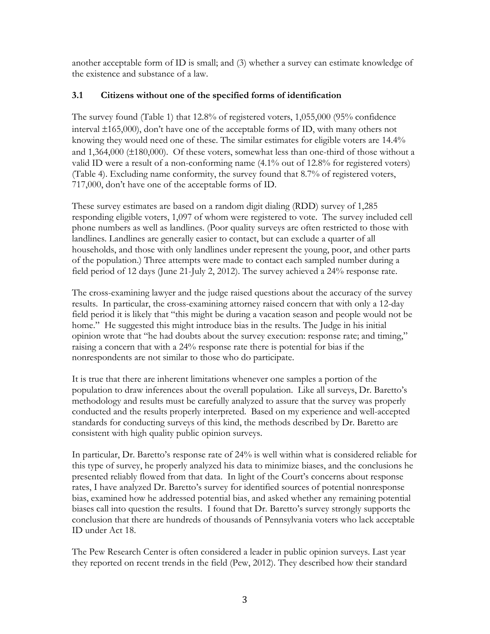another acceptable form of ID is small; and (3) whether a survey can estimate knowledge of the existence and substance of a law.

## **3.1 Citizens without one of the specified forms of identification**

The survey found (Table 1) that 12.8% of registered voters, 1,055,000 (95% confidence interval  $\pm 165,000$ ), don't have one of the acceptable forms of ID, with many others not knowing they would need one of these. The similar estimates for eligible voters are 14.4% and  $1,364,000$  ( $\pm 180,000$ ). Of these voters, somewhat less than one-third of those without a valid ID were a result of a non-conforming name (4.1% out of 12.8% for registered voters) (Table 4). Excluding name conformity, the survey found that 8.7% of registered voters, 717,000, don't have one of the acceptable forms of ID.

These survey estimates are based on a random digit dialing (RDD) survey of 1,285 responding eligible voters, 1,097 of whom were registered to vote. The survey included cell phone numbers as well as landlines. (Poor quality surveys are often restricted to those with landlines. Landlines are generally easier to contact, but can exclude a quarter of all households, and those with only landlines under represent the young, poor, and other parts of the population.) Three attempts were made to contact each sampled number during a field period of 12 days (June 21-July 2, 2012). The survey achieved a 24% response rate.

The cross-examining lawyer and the judge raised questions about the accuracy of the survey results. In particular, the cross-examining attorney raised concern that with only a 12-day field period it is likely that "this might be during a vacation season and people would not be home." He suggested this might introduce bias in the results. The Judge in his initial opinion wrote that "he had doubts about the survey execution: response rate; and timing," raising a concern that with a 24% response rate there is potential for bias if the nonrespondents are not similar to those who do participate.

It is true that there are inherent limitations whenever one samples a portion of the population to draw inferences about the overall population. Like all surveys, Dr. Baretto's methodology and results must be carefully analyzed to assure that the survey was properly conducted and the results properly interpreted. Based on my experience and well-accepted standards for conducting surveys of this kind, the methods described by Dr. Baretto are consistent with high quality public opinion surveys.

In particular, Dr. Baretto's response rate of 24% is well within what is considered reliable for this type of survey, he properly analyzed his data to minimize biases, and the conclusions he presented reliably flowed from that data. In light of the Court's concerns about response rates, I have analyzed Dr. Baretto's survey for identified sources of potential nonresponse bias, examined how he addressed potential bias, and asked whether any remaining potential biases call into question the results. I found that Dr. Baretto's survey strongly supports the conclusion that there are hundreds of thousands of Pennsylvania voters who lack acceptable ID under Act 18.

The Pew Research Center is often considered a leader in public opinion surveys. Last year they reported on recent trends in the field (Pew, 2012). They described how their standard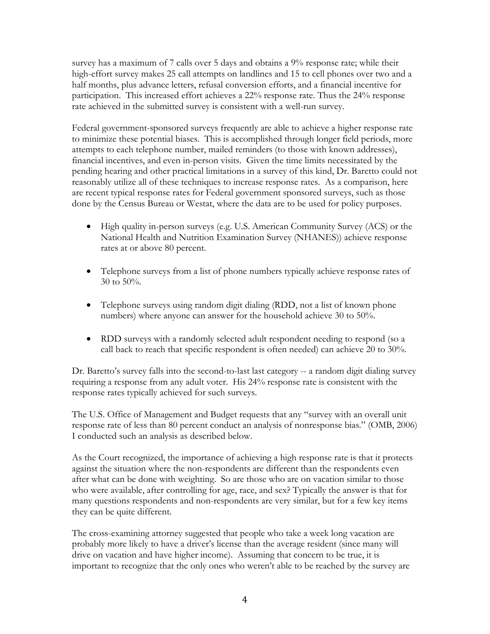survey has a maximum of 7 calls over 5 days and obtains a 9% response rate; while their high-effort survey makes 25 call attempts on landlines and 15 to cell phones over two and a half months, plus advance letters, refusal conversion efforts, and a financial incentive for participation. This increased effort achieves a 22% response rate. Thus the 24% response rate achieved in the submitted survey is consistent with a well-run survey.

Federal government-sponsored surveys frequently are able to achieve a higher response rate to minimize these potential biases. This is accomplished through longer field periods, more attempts to each telephone number, mailed reminders (to those with known addresses), financial incentives, and even in-person visits. Given the time limits necessitated by the pending hearing and other practical limitations in a survey of this kind, Dr. Baretto could not reasonably utilize all of these techniques to increase response rates. As a comparison, here are recent typical response rates for Federal government sponsored surveys, such as those done by the Census Bureau or Westat, where the data are to be used for policy purposes.

- High quality in-person surveys (e.g. U.S. American Community Survey (ACS) or the National Health and Nutrition Examination Survey (NHANES)) achieve response rates at or above 80 percent.
- Telephone surveys from a list of phone numbers typically achieve response rates of 30 to 50%.
- Telephone surveys using random digit dialing (RDD, not a list of known phone numbers) where anyone can answer for the household achieve 30 to 50%.
- RDD surveys with a randomly selected adult respondent needing to respond (so a call back to reach that specific respondent is often needed) can achieve 20 to 30%.

Dr. Baretto's survey falls into the second-to-last last category -- a random digit dialing survey requiring a response from any adult voter. His 24% response rate is consistent with the response rates typically achieved for such surveys.

The U.S. Office of Management and Budget requests that any "survey with an overall unit response rate of less than 80 percent conduct an analysis of nonresponse bias." (OMB, 2006) I conducted such an analysis as described below.

As the Court recognized, the importance of achieving a high response rate is that it protects against the situation where the non-respondents are different than the respondents even after what can be done with weighting. So are those who are on vacation similar to those who were available, after controlling for age, race, and sex? Typically the answer is that for many questions respondents and non-respondents are very similar, but for a few key items they can be quite different.

The cross-examining attorney suggested that people who take a week long vacation are probably more likely to have a driver's license than the average resident (since many will drive on vacation and have higher income). Assuming that concern to be true, it is important to recognize that the only ones who weren't able to be reached by the survey are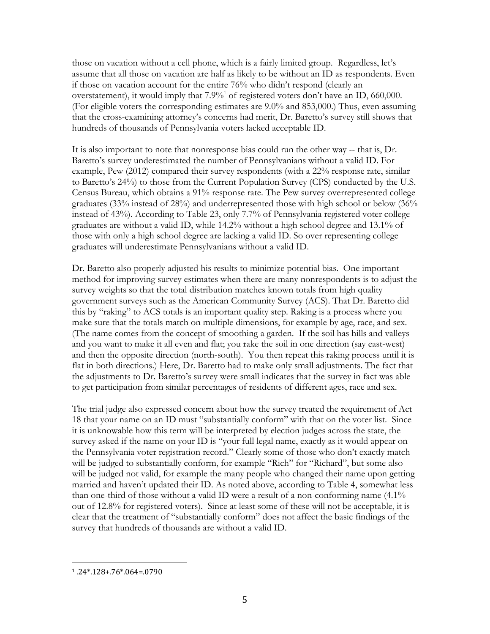those on vacation without a cell phone, which is a fairly limited group. Regardless, let's assume that all those on vacation are half as likely to be without an ID as respondents. Even if those on vacation account for the entire 76% who didn't respond (clearly an overstatement), it would imply that  $7.9\%$ <sup>[1](#page-5-0)</sup> of registered voters don't have an ID, 660,000. (For eligible voters the corresponding estimates are 9.0% and 853,000.) Thus, even assuming that the cross-examining attorney's concerns had merit, Dr. Baretto's survey still shows that hundreds of thousands of Pennsylvania voters lacked acceptable ID.

It is also important to note that nonresponse bias could run the other way -- that is, Dr. Baretto's survey underestimated the number of Pennsylvanians without a valid ID. For example, Pew (2012) compared their survey respondents (with a 22% response rate, similar to Baretto's 24%) to those from the Current Population Survey (CPS) conducted by the U.S. Census Bureau, which obtains a 91% response rate. The Pew survey overrepresented college graduates (33% instead of 28%) and underrepresented those with high school or below (36% instead of 43%). According to Table 23, only 7.7% of Pennsylvania registered voter college graduates are without a valid ID, while 14.2% without a high school degree and 13.1% of those with only a high school degree are lacking a valid ID. So over representing college graduates will underestimate Pennsylvanians without a valid ID.

Dr. Baretto also properly adjusted his results to minimize potential bias. One important method for improving survey estimates when there are many nonrespondents is to adjust the survey weights so that the total distribution matches known totals from high quality government surveys such as the American Community Survey (ACS). That Dr. Baretto did this by "raking" to ACS totals is an important quality step. Raking is a process where you make sure that the totals match on multiple dimensions, for example by age, race, and sex. (The name comes from the concept of smoothing a garden. If the soil has hills and valleys and you want to make it all even and flat; you rake the soil in one direction (say east-west) and then the opposite direction (north-south). You then repeat this raking process until it is flat in both directions.) Here, Dr. Baretto had to make only small adjustments. The fact that the adjustments to Dr. Baretto's survey were small indicates that the survey in fact was able to get participation from similar percentages of residents of different ages, race and sex.

The trial judge also expressed concern about how the survey treated the requirement of Act 18 that your name on an ID must "substantially conform" with that on the voter list. Since it is unknowable how this term will be interpreted by election judges across the state, the survey asked if the name on your ID is "your full legal name, exactly as it would appear on the Pennsylvania voter registration record." Clearly some of those who don't exactly match will be judged to substantially conform, for example "Rich" for "Richard", but some also will be judged not valid, for example the many people who changed their name upon getting married and haven't updated their ID. As noted above, according to Table 4, somewhat less than one-third of those without a valid ID were a result of a non-conforming name (4.1% out of 12.8% for registered voters). Since at least some of these will not be acceptable, it is clear that the treatment of "substantially conform" does not affect the basic findings of the survey that hundreds of thousands are without a valid ID.

<span id="page-5-0"></span><sup>1</sup> .24\*.128+.76\*.064=.0790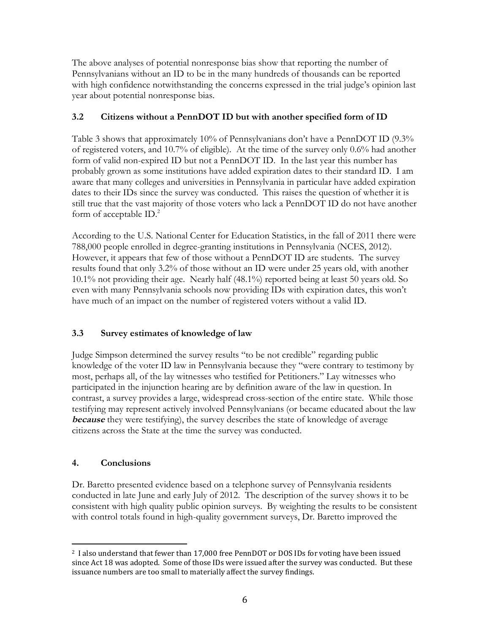The above analyses of potential nonresponse bias show that reporting the number of Pennsylvanians without an ID to be in the many hundreds of thousands can be reported with high confidence notwithstanding the concerns expressed in the trial judge's opinion last year about potential nonresponse bias.

# **3.2 Citizens without a PennDOT ID but with another specified form of ID**

Table 3 shows that approximately 10% of Pennsylvanians don't have a PennDOT ID (9.3% of registered voters, and 10.7% of eligible). At the time of the survey only 0.6% had another form of valid non-expired ID but not a PennDOT ID. In the last year this number has probably grown as some institutions have added expiration dates to their standard ID. I am aware that many colleges and universities in Pennsylvania in particular have added expiration dates to their IDs since the survey was conducted. This raises the question of whether it is still true that the vast majority of those voters who lack a PennDOT ID do not have another form of acceptable  $ID<sup>2</sup>$  $ID<sup>2</sup>$  $ID<sup>2</sup>$ .

According to the U.S. National Center for Education Statistics, in the fall of 2011 there were 788,000 people enrolled in degree-granting institutions in Pennsylvania (NCES, 2012). However, it appears that few of those without a PennDOT ID are students. The survey results found that only 3.2% of those without an ID were under 25 years old, with another 10.1% not providing their age. Nearly half (48.1%) reported being at least 50 years old. So even with many Pennsylvania schools now providing IDs with expiration dates, this won't have much of an impact on the number of registered voters without a valid ID.

# **3.3 Survey estimates of knowledge of law**

Judge Simpson determined the survey results "to be not credible" regarding public knowledge of the voter ID law in Pennsylvania because they "were contrary to testimony by most, perhaps all, of the lay witnesses who testified for Petitioners." Lay witnesses who participated in the injunction hearing are by definition aware of the law in question. In contrast, a survey provides a large, widespread cross-section of the entire state. While those testifying may represent actively involved Pennsylvanians (or became educated about the law **because** they were testifying), the survey describes the state of knowledge of average citizens across the State at the time the survey was conducted.

# **4. Conclusions**

Dr. Baretto presented evidence based on a telephone survey of Pennsylvania residents conducted in late June and early July of 2012. The description of the survey shows it to be consistent with high quality public opinion surveys. By weighting the results to be consistent with control totals found in high-quality government surveys, Dr. Baretto improved the

<span id="page-6-0"></span><sup>2</sup> I also understand that fewer than 17,000 free PennDOT or DOS IDs for voting have been issued since Act 18 was adopted. Some of those IDs were issued after the survey was conducted. But these issuance numbers are too small to materially affect the survey findings.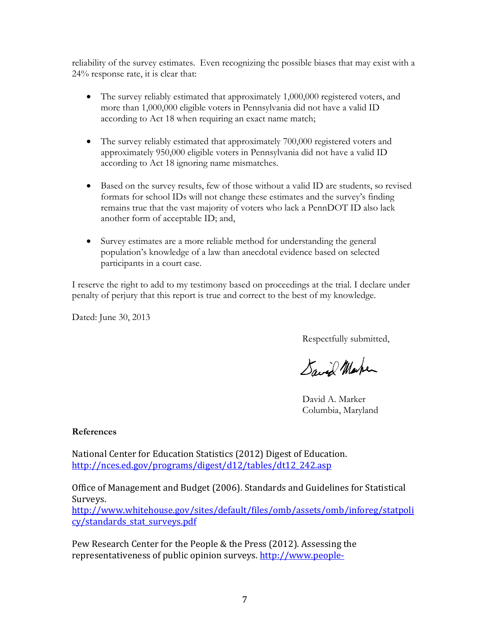reliability of the survey estimates. Even recognizing the possible biases that may exist with a 24% response rate, it is clear that:

- The survey reliably estimated that approximately 1,000,000 registered voters, and more than 1,000,000 eligible voters in Pennsylvania did not have a valid ID according to Act 18 when requiring an exact name match;
- The survey reliably estimated that approximately 700,000 registered voters and approximately 950,000 eligible voters in Pennsylvania did not have a valid ID according to Act 18 ignoring name mismatches.
- Based on the survey results, few of those without a valid ID are students, so revised formats for school IDs will not change these estimates and the survey's finding remains true that the vast majority of voters who lack a PennDOT ID also lack another form of acceptable ID; and,
- Survey estimates are a more reliable method for understanding the general population's knowledge of a law than anecdotal evidence based on selected participants in a court case.

I reserve the right to add to my testimony based on proceedings at the trial. I declare under penalty of perjury that this report is true and correct to the best of my knowledge.

Dated: June 30, 2013

Respectfully submitted,

Saved Marken

David A. Marker Columbia, Maryland

### **References**

[National Center for Education Statistics \(2012\) Digest of Educat](http://nces.ed.gov/programs/digest/d12/tables/dt12_242.asp)ion. http://nces.ed.gov/programs/digest/d12/tables/dt12\_242.asp

Office of Management and Budget (2006). Standards and Guidelines for Statistical Surveys.

[http://www.whitehouse.gov/sites/default/files/omb/assets/omb/inforeg/statpoli](http://www.whitehouse.gov/sites/default/files/omb/assets/omb/inforeg/statpolicy/standards_stat_surveys.pdf) cy/standards\_stat\_surveys.pdf

Pew Research Center for the People & the Press (2012). Assessing the representativeness of public opinion surveys. [http://www.people-](http://www.people-press.org/2012/05/15/assessing-the-representativeness-of-public-opinion-surveys/)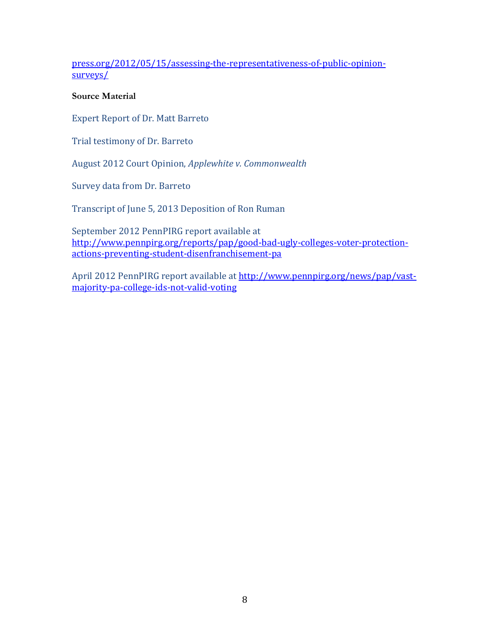[press.org/2012/05/15/assessing-the-representativeness-of-public-opinion](http://www.people-press.org/2012/05/15/assessing-the-representativeness-of-public-opinion-surveys/)surveys/

### **Source Material**

Expert Report of Dr. Matt Barreto

Trial testimony of Dr. Barreto

August 2012 Court Opinion, *Applewhite v. Commonwealth*

Survey data from Dr. Barreto

Transcript of June 5, 2013 Deposition of Ron Ruman

[September 2012 PennPIRG report available at](http://www.pennpirg.org/reports/pap/good-bad-ugly-colleges-voter-protection-actions-preventing-student-disenfranchisement-pa) [http://www.pennpirg.org/reports/pap/good-bad-ugly-colleges-voter-protection](http://www.pennpirg.org/reports/pap/good-bad-ugly-colleges-voter-protection-actions-preventing-student-disenfranchisement-pa)[actions-preventing-student-disenfranchisement-pa](http://www.pennpirg.org/reports/pap/good-bad-ugly-colleges-voter-protection-actions-preventing-student-disenfranchisement-pa)

April 2012 PennPIRG report available at [http://www.pennpirg.org/news/pap/vast](http://www.pennpirg.org/news/pap/vast-majority-pa-college-ids-not-valid-voting)[majority-pa-college-ids-not-valid-voting](http://www.pennpirg.org/news/pap/vast-majority-pa-college-ids-not-valid-voting)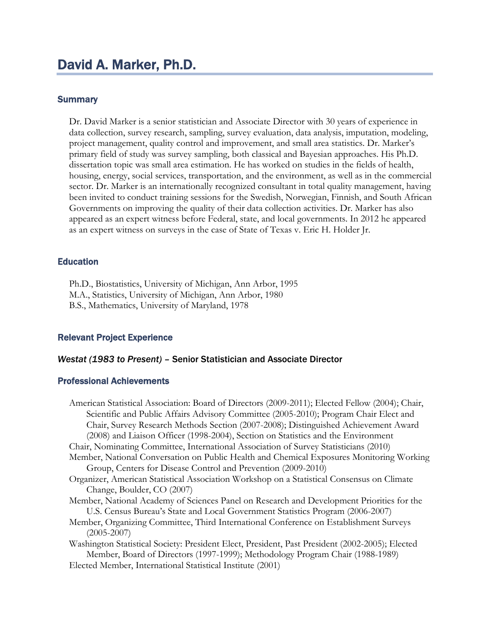### **Summary**

Dr. David Marker is a senior statistician and Associate Director with 30 years of experience in data collection, survey research, sampling, survey evaluation, data analysis, imputation, modeling, project management, quality control and improvement, and small area statistics. Dr. Marker's primary field of study was survey sampling, both classical and Bayesian approaches. His Ph.D. dissertation topic was small area estimation. He has worked on studies in the fields of health, housing, energy, social services, transportation, and the environment, as well as in the commercial sector. Dr. Marker is an internationally recognized consultant in total quality management, having been invited to conduct training sessions for the Swedish, Norwegian, Finnish, and South African Governments on improving the quality of their data collection activities. Dr. Marker has also appeared as an expert witness before Federal, state, and local governments. In 2012 he appeared as an expert witness on surveys in the case of State of Texas v. Eric H. Holder Jr.

#### **Education**

Ph.D., Biostatistics, University of Michigan, Ann Arbor, 1995 M.A., Statistics, University of Michigan, Ann Arbor, 1980 B.S., Mathematics, University of Maryland, 1978

## Relevant Project Experience

#### *Westat (1983 to Present) –* Senior Statistician and Associate Director

#### Professional Achievements

| American Statistical Association: Board of Directors (2009-2011); Elected Fellow (2004); Chair, |
|-------------------------------------------------------------------------------------------------|
| Scientific and Public Affairs Advisory Committee (2005-2010); Program Chair Elect and           |
| Chair, Survey Research Methods Section (2007-2008); Distinguished Achievement Award             |
| (2008) and Liaison Officer (1998-2004), Section on Statistics and the Environment               |
| Chair, Nominating Committee, International Association of Survey Statisticians (2010)           |
| Member, National Conversation on Public Health and Chemical Exposures Monitoring Working        |
| Group, Centers for Disease Control and Prevention (2009-2010)                                   |
| Organizer, American Statistical Association Workshop on a Statistical Consensus on Climate      |
| Change, Boulder, CO (2007)                                                                      |
| Member, National Academy of Sciences Panel on Research and Development Priorities for the       |
| U.S. Census Bureau's State and Local Government Statistics Program (2006-2007)                  |
| Member, Organizing Committee, Third International Conference on Establishment Surveys           |
| $(2005 - 2007)$                                                                                 |
| Washington Statistical Society: President Elect, President, Past President (2002-2005); Elected |
| Member, Board of Directors (1997-1999); Methodology Program Chair (1988-1989)                   |
| Elected Member, International Statistical Institute (2001)                                      |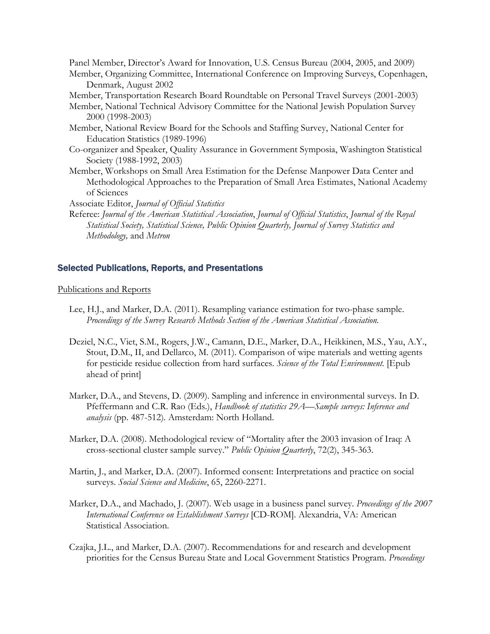Panel Member, Director's Award for Innovation, U.S. Census Bureau (2004, 2005, and 2009)

- Member, Organizing Committee, International Conference on Improving Surveys, Copenhagen, Denmark, August 2002
- Member, Transportation Research Board Roundtable on Personal Travel Surveys (2001-2003)
- Member, National Technical Advisory Committee for the National Jewish Population Survey 2000 (1998-2003)
- Member, National Review Board for the Schools and Staffing Survey, National Center for Education Statistics (1989-1996)
- Co-organizer and Speaker, Quality Assurance in Government Symposia, Washington Statistical Society (1988-1992, 2003)
- Member, Workshops on Small Area Estimation for the Defense Manpower Data Center and Methodological Approaches to the Preparation of Small Area Estimates, National Academy of Sciences

Associate Editor, *Journal of Official Statistics*

Referee: *Journal of the American Statistical Association*, *Journal of Official Statistics*, *Journal of the Royal Statistical Society, Statistical Science, Public Opinion Quarterly, Journal of Survey Statistics and Methodology,* and *Metron*

#### Selected Publications, Reports, and Presentations

Publications and Reports

- Lee, H.J., and Marker, D.A. (2011). Resampling variance estimation for two-phase sample. *Proceedings of the Survey Research Methods Section of the American Statistical Association.*
- [Deziel](http://www.ncbi.nlm.nih.gov/pubmed?term=%22Deziel%20NC%22%5BAuthor%5D), [N.C](http://www.ncbi.nlm.nih.gov/pubmed?term=%22Deziel%20NC%22%5BAuthor%5D)., [Viet, S.M](http://www.ncbi.nlm.nih.gov/pubmed?term=%22Viet%20SM%22%5BAuthor%5D)., [Rogers, J.W](http://www.ncbi.nlm.nih.gov/pubmed?term=%22Rogers%20JW%22%5BAuthor%5D)., [Camann, D.E](http://www.ncbi.nlm.nih.gov/pubmed?term=%22Camann%20DE%22%5BAuthor%5D)., [Marker, D.A](http://www.ncbi.nlm.nih.gov/pubmed?term=%22Marker%20DA%22%5BAuthor%5D)., [Heikkinen, M.S.](http://www.ncbi.nlm.nih.gov/pubmed?term=%22Heikkinen%20MS%22%5BAuthor%5D), [Yau, A.Y.](http://www.ncbi.nlm.nih.gov/pubmed?term=%22Yau%20AY%22%5BAuthor%5D), [Stout, D.M., II,](http://www.ncbi.nlm.nih.gov/pubmed?term=%22Stout%20DM%202nd%22%5BAuthor%5D) and [Dellarco](http://www.ncbi.nlm.nih.gov/pubmed?term=%22Dellarco%20M%22%5BAuthor%5D), [M.](http://www.ncbi.nlm.nih.gov/pubmed?term=%22Dellarco%20M%22%5BAuthor%5D) (2011). Comparison of wipe materials and wetting agents for pesticide residue collection from hard surfaces. *[Scie](http://www.ncbi.nlm.nih.gov/pubmed/21816452)nce ofthe [Total Environment.](http://www.ncbi.nlm.nih.gov/pubmed/21816452)* [Epub ahead of print]
- Marker, D.A., and Stevens, D. (2009). Sampling and inference in environmental surveys. In D. Pfeffermann and C.R. Rao (Eds.), *Handbook of statistics 29A—Sample surveys: Inference and analysis* (pp. 487-512)*.* Amsterdam: North Holland.
- Marker, D.A. (2008). Methodological review of "Mortality after the 2003 invasion of Iraq: A cross-sectional cluster sample survey." *Public Opinion Quarterly*, 72(2), 345-363.
- Martin, J., and Marker, D.A. (2007). Informed consent: Interpretations and practice on social surveys. *Social Science and Medicine*, 65, 2260-2271.
- Marker, D.A., and Machado, J. (2007). Web usage in a business panel survey. *Proceedings of the 2007 International Conference on Establishment Surveys* [CD-ROM]. Alexandria, VA: American Statistical Association.
- Czajka, J.L., and Marker, D.A. (2007). Recommendations for and research and development priorities for the Census Bureau State and Local Government Statistics Program. *Proceedings*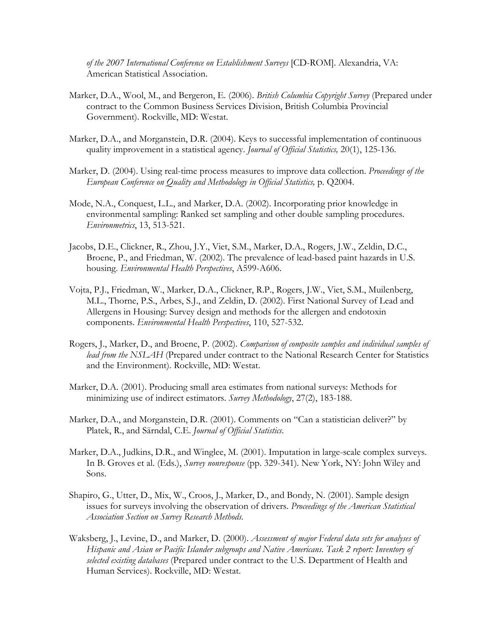*of the 2007 International Conference on Establishment Surveys* [CD-ROM]. Alexandria, VA: American Statistical Association.

- Marker, D.A., Wool, M., and Bergeron, E. (2006). *British Columbia Copyright Survey* (Prepared under contract to the Common Business Services Division, British Columbia Provincial Government). Rockville, MD: Westat.
- Marker, D.A., and Morganstein, D.R. (2004). Keys to successful implementation of continuous quality improvement in a statistical agency. *Journal of Official Statistics,* 20(1), 125-136.
- Marker, D. (2004). Using real-time process measures to improve data collection. *Proceedings of the European Conference on Quality and Methodology in Official Statistics,* p. Q2004.
- Mode, N.A., Conquest, L.L., and Marker, D.A. (2002). Incorporating prior knowledge in environmental sampling: Ranked set sampling and other double sampling procedures. *Environmetrics*, 13, 513-521.
- Jacobs, D.E., Clickner, R., Zhou, J.Y., Viet, S.M., Marker, D.A., Rogers, J.W., Zeldin, D.C., Broene, P., and Friedman, W. (2002). The prevalence of lead-based paint hazards in U.S. housing. *Environmental Health Perspectives*, A599-A606.
- Vojta, P.J., Friedman, W., Marker, D.A., Clickner, R.P., Rogers, J.W., Viet, S.M., Muilenberg, M.L., Thorne, P.S., Arbes, S.J., and Zeldin, D. (2002). First National Survey of Lead and Allergens in Housing: Survey design and methods for the allergen and endotoxin components. *Environmental Health Perspectives*, 110, 527-532.
- Rogers, J., Marker, D., and Broene, P. (2002). *Comparison of composite samples and individual samples of lead from the NSLAH* (Prepared under contract to the National Research Center for Statistics and the Environment). Rockville, MD: Westat.
- Marker, D.A. (2001). Producing small area estimates from national surveys: Methods for minimizing use of indirect estimators. *Survey Methodology*, 27(2), 183-188.
- Marker, D.A., and Morganstein, D.R. (2001). Comments on "Can a statistician deliver?" by Platek, R., and Särndal, C.E. *Journal of Official Statistics*.
- Marker, D.A., Judkins, D.R., and Winglee, M. (2001). Imputation in large-scale complex surveys. In B. Groves et al. (Eds.), *Survey nonresponse* (pp. 329-341)*.* New York, NY: John Wiley and Sons.
- Shapiro, G., Utter, D., Mix, W., Croos, J., Marker, D., and Bondy, N. (2001). Sample design issues for surveys involving the observation of drivers. *Proceedings of the American Statistical Association Section on Survey Research Methods.*
- Waksberg, J., Levine, D., and Marker, D. (2000). *Assessment of major Federal data sets for analyses of Hispanic and Asian or Pacific Islander subgroups and Native Americans. Task 2 report: Inventory of selected existing databases* (Prepared under contract to the U.S. Department of Health and Human Services). Rockville, MD: Westat.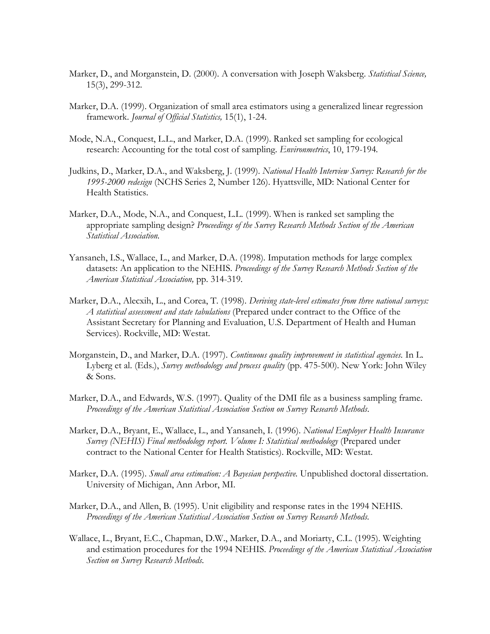- Marker, D., and Morganstein, D. (2000). A conversation with Joseph Waksberg. *Statistical Science,* 15(3), 299-312.
- Marker, D.A. (1999). Organization of small area estimators using a generalized linear regression framework. *Journal of Official Statistics,* 15(1), 1-24.
- Mode, N.A., Conquest, L.L., and Marker, D.A. (1999). Ranked set sampling for ecological research: Accounting for the total cost of sampling. *Environmetrics*, 10, 179-194*.*
- Judkins, D., Marker, D.A., and Waksberg, J. (1999). *National Health Interview Survey: Research for the 1995-2000 redesign* (NCHS Series 2, Number 126). Hyattsville, MD: National Center for Health Statistics.
- Marker, D.A., Mode, N.A., and Conquest, L.L. (1999). When is ranked set sampling the appropriate sampling design? *Proceedings of the Survey Research Methods Section of the American Statistical Association.*
- Yansaneh, I.S., Wallace, L., and Marker, D.A. (1998). Imputation methods for large complex datasets: An application to the NEHIS. *Proceedings of the Survey Research Methods Section of the American Statistical Association,* pp. 314-319*.*
- Marker, D.A., Alecxih, L., and Corea, T. (1998). *Deriving state-level estimates from three national surveys: A statistical assessment and state tabulations* (Prepared under contract to the Office of the Assistant Secretary for Planning and Evaluation, U.S. Department of Health and Human Services). Rockville, MD: Westat.
- Morganstein, D., and Marker, D.A. (1997). *Continuous quality improvement in statistical agencies.* In L. Lyberg et al. (Eds.), *Survey methodology and process quality* (pp. 475-500). New York: John Wiley & Sons.
- Marker, D.A., and Edwards, W.S. (1997). Quality of the DMI file as a business sampling frame. *Proceedings of the American Statistical Association Section on Survey Research Methods*.
- Marker, D.A., Bryant, E., Wallace, L., and Yansaneh, I. (1996). *National Employer Health Insurance Survey (NEHIS) Final methodology report. Volume I: Statistical methodology* (Prepared under contract to the National Center for Health Statistics). Rockville, MD: Westat.
- Marker, D.A. (1995). *Small area estimation: A Bayesian perspective.* Unpublished doctoral dissertation. University of Michigan, Ann Arbor, MI.
- Marker, D.A., and Allen, B. (1995). Unit eligibility and response rates in the 1994 NEHIS. *Proceedings of the American Statistical Association Section on Survey Research Methods.*
- Wallace, L., Bryant, E.C., Chapman, D.W., Marker, D.A., and Moriarty, C.L. (1995). Weighting and estimation procedures for the 1994 NEHIS. *Proceedings of the American Statistical Association Section on Survey Research Methods*.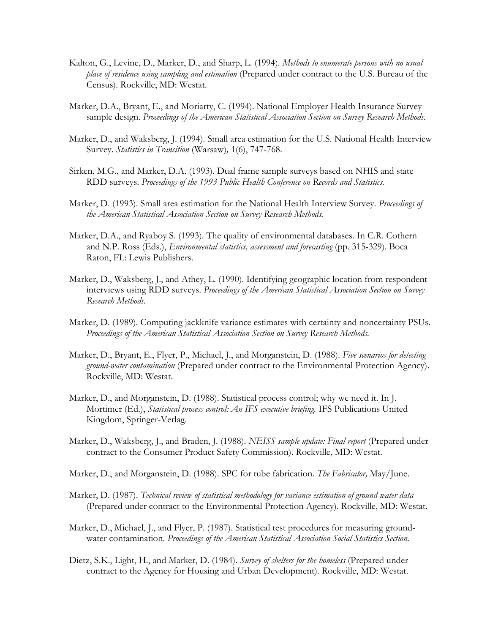- Kalton, G., Levine, D., Marker, D., and Sharp, L. (1994). *Methods to enumerate persons with no usual place of residence using sampling and estimation* (Prepared under contract to the U.S. Bureau of the Census). Rockville, MD: Westat.
- Marker, D.A., Bryant, E., and Moriarty, C. (1994). National Employer Health Insurance Survey sample design. *Proceedings of the American Statistical Association Section on Survey Research Methods.*
- Marker, D., and Waksberg, J. (1994). Small area estimation for the U.S. National Health Interview Survey*. Statistics in Transition* (Warsaw)*,* 1(6), 747-768.
- Sirken, M.G., and Marker, D.A. (1993). Dual frame sample surveys based on NHIS and state RDD surveys. *Proceedings of the 1993 Public Health Conference on Records and Statistics.*
- Marker, D. (1993). Small area estimation for the National Health Interview Survey. *Proceedings of the American Statistical Association Section on Survey Research Methods.*
- Marker, D.A., and Ryaboy S. (1993). The quality of environmental databases. In C.R. Cothern and N.P. Ross (Eds.), *Environmental statistics, assessment and forecasting* (pp. 315-329). Boca Raton, FL: Lewis Publishers.
- Marker, D., Waksberg, J., and Athey, L. (1990). Identifying geographic location from respondent interviews using RDD surveys. *Proceedings of the American Statistical Association Section on Survey Research Methods.*
- Marker, D. (1989). Computing jackknife variance estimates with certainty and noncertainty PSUs. *Proceedings of the American Statistical Association Section on Survey Research Methods.*
- Marker, D., Bryant, E., Flyer, P., Michael, J., and Morganstein, D. (1988). *Five scenarios for detecting ground-water contamination* (Prepared under contract to the Environmental Protection Agency). Rockville, MD: Westat.
- Marker, D., and Morganstein, D. (1988). Statistical process control; why we need it. In J. Mortimer (Ed.), *Statistical process control: An IFS executive briefing.* IFS Publications United Kingdom, Springer-Verlag.
- Marker, D., Waksberg, J., and Braden, J. (1988). *NEISS sample update: Final report* (Prepared under contract to the Consumer Product Safety Commission). Rockville, MD: Westat.
- Marker, D., and Morganstein, D. (1988). SPC for tube fabrication. *The Fabricator,* May/June.
- Marker, D. (1987). *Technical review of statistical methodology for variance estimation of ground-water data* (Prepared under contract to the Environmental Protection Agency). Rockville, MD: Westat.
- Marker, D., Michael, J., and Flyer, P. (1987). Statistical test procedures for measuring groundwater contamination. *Proceedings of the American Statistical Association Social Statistics Section.*
- Dietz, S.K., Light, H., and Marker, D. (1984). *Survey of shelters for the homeless* (Prepared under contract to the Agency for Housing and Urban Development). Rockville, MD: Westat.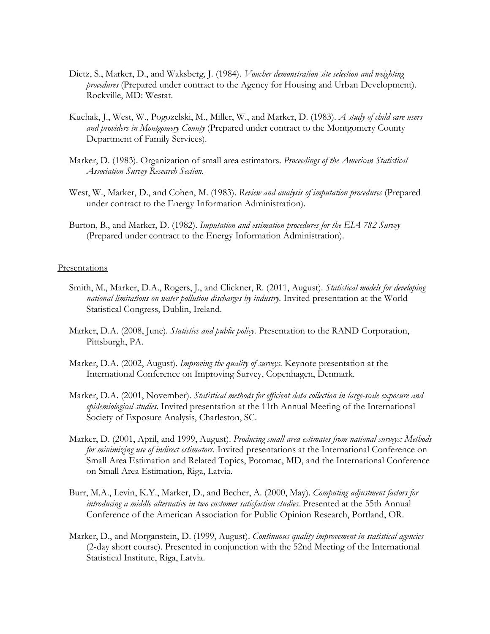- Dietz, S., Marker, D., and Waksberg, J. (1984). *Voucher demonstration site selection and weighting procedures* (Prepared under contract to the Agency for Housing and Urban Development). Rockville, MD: Westat.
- Kuchak, J., West, W., Pogozelski, M., Miller, W., and Marker, D. (1983). *A study of child care users and providers in Montgomery County* (Prepared under contract to the Montgomery County Department of Family Services).
- Marker, D. (1983). Organization of small area estimators. *Proceedings of the American Statistical Association Survey Research Section.*
- West, W., Marker, D., and Cohen, M. (1983). *Review and analysis of imputation procedures* (Prepared under contract to the Energy Information Administration).
- Burton, B., and Marker, D. (1982). *Imputation and estimation procedures for the EIA-782 Survey* (Prepared under contract to the Energy Information Administration).

#### Presentations

- Smith, M., Marker, D.A., Rogers, J., and Clickner, R. (2011, August). *Statistical models for developing national limitations on water pollution discharges by industry.* Invited presentation at the World Statistical Congress, Dublin, Ireland.
- Marker, D.A. (2008, June). *Statistics and public policy*. Presentation to the RAND Corporation, Pittsburgh, PA.
- Marker, D.A. (2002, August). *Improving the quality of surveys*. Keynote presentation at the International Conference on Improving Survey, Copenhagen, Denmark.
- Marker, D.A. (2001, November). *Statistical methods for efficient data collection in large-scale exposure and epidemiological studies*. Invited presentation at the 11th Annual Meeting of the International Society of Exposure Analysis, Charleston, SC.
- Marker, D. (2001, April, and 1999, August). *Producing small area estimates from national surveys: Methods for minimizing use of indirect estimators.* Invited presentations at the International Conference on Small Area Estimation and Related Topics, Potomac, MD, and the International Conference on Small Area Estimation, Riga, Latvia.
- Burr, M.A., Levin, K.Y., Marker, D., and Becher, A. (2000, May). *Computing adjustment factors for introducing a middle alternative in two customer satisfaction studies.* Presented at the 55th Annual Conference of the American Association for Public Opinion Research, Portland, OR.
- Marker, D., and Morganstein, D. (1999, August). *Continuous quality improvement in statistical agencies* (2-day short course). Presented in conjunction with the 52nd Meeting of the International Statistical Institute, Riga, Latvia.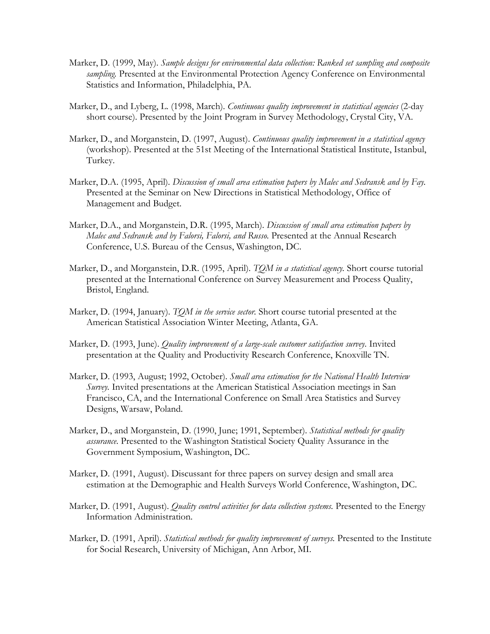- Marker, D. (1999, May). *Sample designs for environmental data collection: Ranked set sampling and composite sampling.* Presented at the Environmental Protection Agency Conference on Environmental Statistics and Information, Philadelphia, PA.
- Marker, D., and Lyberg, L. (1998, March). *Continuous quality improvement in statistical agencies* (2-day short course). Presented by the Joint Program in Survey Methodology, Crystal City, VA.
- Marker, D., and Morganstein, D. (1997, August). *Continuous quality improvement in a statistical agency* (workshop). Presented at the 51st Meeting of the International Statistical Institute, Istanbul, Turkey.
- Marker, D.A. (1995, April). *Discussion of small area estimation papers by Malec and Sedransk and by Fay.* Presented at the Seminar on New Directions in Statistical Methodology, Office of Management and Budget.
- Marker, D.A., and Morganstein, D.R. (1995, March). *Discussion of small area estimation papers by Malec and Sedransk and by Falorsi, Falorsi, and Russo.* Presented at the Annual Research Conference, U.S. Bureau of the Census, Washington, DC.
- Marker, D., and Morganstein, D.R. (1995, April). *TQM in a statistical agency.* Short course tutorial presented at the International Conference on Survey Measurement and Process Quality, Bristol, England.
- Marker, D. (1994, January). *TQM in the service sector.* Short course tutorial presented at the American Statistical Association Winter Meeting, Atlanta, GA.
- Marker, D. (1993, June). *Quality improvement of a large-scale customer satisfaction survey*. Invited presentation at the Quality and Productivity Research Conference, Knoxville TN.
- Marker, D. (1993, August; 1992, October). *Small area estimation for the National Health Interview Survey.* Invited presentations at the American Statistical Association meetings in San Francisco, CA, and the International Conference on Small Area Statistics and Survey Designs, Warsaw, Poland.
- Marker, D., and Morganstein, D. (1990, June; 1991, September). *Statistical methods for quality assurance*. Presented to the Washington Statistical Society Quality Assurance in the Government Symposium, Washington, DC.
- Marker, D. (1991, August). Discussant for three papers on survey design and small area estimation at the Demographic and Health Surveys World Conference, Washington, DC.
- Marker, D. (1991, August). *Quality control activities for data collection systems.* Presented to the Energy Information Administration.
- Marker, D. (1991, April). *Statistical methods for quality improvement of surveys.* Presented to the Institute for Social Research, University of Michigan, Ann Arbor, MI.